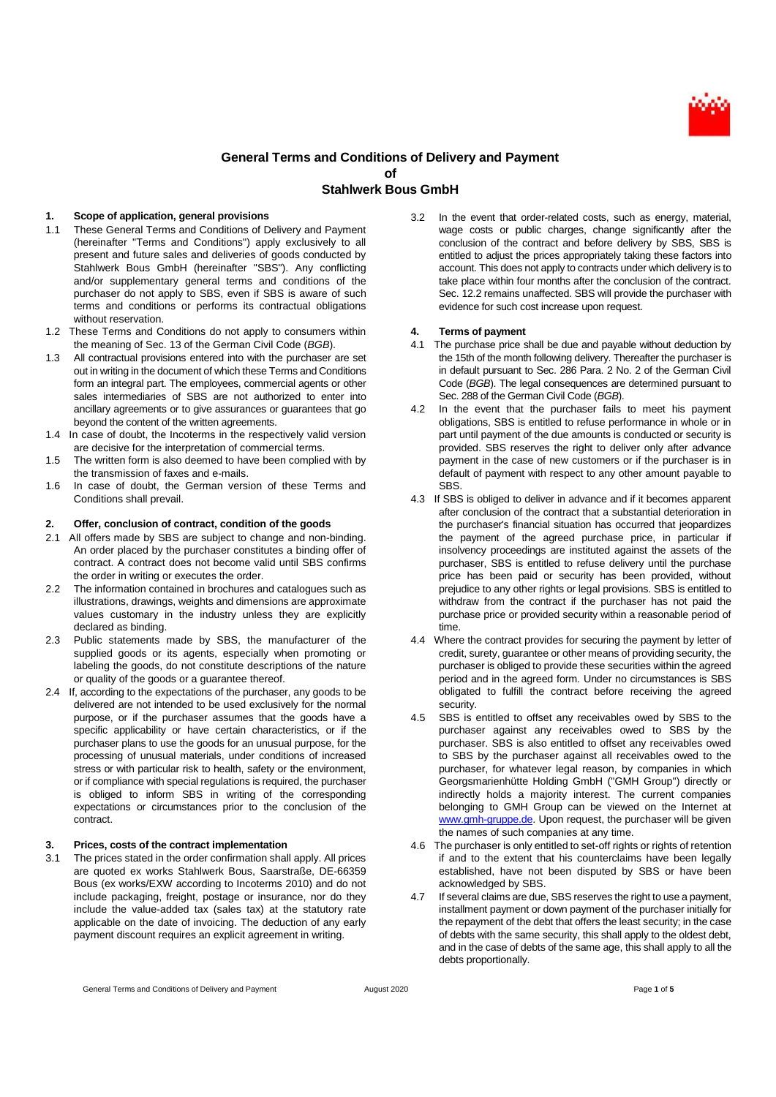

# **General Terms and Conditions of Delivery and Payment of Stahlwerk Bous GmbH**

### **1. Scope of application, general provisions**

- 1.1 These General Terms and Conditions of Delivery and Payment (hereinafter "Terms and Conditions") apply exclusively to all present and future sales and deliveries of goods conducted by Stahlwerk Bous GmbH (hereinafter "SBS"). Any conflicting and/or supplementary general terms and conditions of the purchaser do not apply to SBS, even if SBS is aware of such terms and conditions or performs its contractual obligations without reservation.
- 1.2 These Terms and Conditions do not apply to consumers within the meaning of Sec. 13 of the German Civil Code (*BGB*).
- 1.3 All contractual provisions entered into with the purchaser are set out in writing in the document of which these Terms and Conditions form an integral part. The employees, commercial agents or other sales intermediaries of SBS are not authorized to enter into ancillary agreements or to give assurances or guarantees that go beyond the content of the written agreements.
- 1.4 In case of doubt, the Incoterms in the respectively valid version are decisive for the interpretation of commercial terms.
- 1.5 The written form is also deemed to have been complied with by the transmission of faxes and e-mails.
- 1.6 In case of doubt, the German version of these Terms and Conditions shall prevail.

## **2. Offer, conclusion of contract, condition of the goods**

- 2.1 All offers made by SBS are subject to change and non-binding. An order placed by the purchaser constitutes a binding offer of contract. A contract does not become valid until SBS confirms the order in writing or executes the order.
- 2.2 The information contained in brochures and catalogues such as illustrations, drawings, weights and dimensions are approximate values customary in the industry unless they are explicitly declared as binding.
- 2.3 Public statements made by SBS, the manufacturer of the supplied goods or its agents, especially when promoting or labeling the goods, do not constitute descriptions of the nature or quality of the goods or a guarantee thereof.
- 2.4 If, according to the expectations of the purchaser, any goods to be delivered are not intended to be used exclusively for the normal purpose, or if the purchaser assumes that the goods have a specific applicability or have certain characteristics, or if the purchaser plans to use the goods for an unusual purpose, for the processing of unusual materials, under conditions of increased stress or with particular risk to health, safety or the environment, or if compliance with special regulations is required, the purchaser is obliged to inform SBS in writing of the corresponding expectations or circumstances prior to the conclusion of the contract.

#### **3. Prices, costs of the contract implementation**

3.1 The prices stated in the order confirmation shall apply. All prices are quoted ex works Stahlwerk Bous, Saarstraße, DE-66359 Bous (ex works/EXW according to Incoterms 2010) and do not include packaging, freight, postage or insurance, nor do they include the value-added tax (sales tax) at the statutory rate applicable on the date of invoicing. The deduction of any early payment discount requires an explicit agreement in writing.

3.2 In the event that order-related costs, such as energy, material, wage costs or public charges, change significantly after the conclusion of the contract and before delivery by SBS, SBS is entitled to adjust the prices appropriately taking these factors into account. This does not apply to contracts under which delivery is to take place within four months after the conclusion of the contract. Sec. 12.2 remains unaffected. SBS will provide the purchaser with evidence for such cost increase upon request.

#### **4. Terms of payment**

- 4.1 The purchase price shall be due and payable without deduction by the 15th of the month following delivery. Thereafter the purchaser is in default pursuant to Sec. 286 Para. 2 No. 2 of the German Civil Code (*BGB*). The legal consequences are determined pursuant to Sec. 288 of the German Civil Code (*BGB*).
- 4.2 In the event that the purchaser fails to meet his payment obligations, SBS is entitled to refuse performance in whole or in part until payment of the due amounts is conducted or security is provided. SBS reserves the right to deliver only after advance payment in the case of new customers or if the purchaser is in default of payment with respect to any other amount payable to SBS.
- 4.3 If SBS is obliged to deliver in advance and if it becomes apparent after conclusion of the contract that a substantial deterioration in the purchaser's financial situation has occurred that jeopardizes the payment of the agreed purchase price, in particular if insolvency proceedings are instituted against the assets of the purchaser, SBS is entitled to refuse delivery until the purchase price has been paid or security has been provided, without prejudice to any other rights or legal provisions. SBS is entitled to withdraw from the contract if the purchaser has not paid the purchase price or provided security within a reasonable period of time.
- 4.4 Where the contract provides for securing the payment by letter of credit, surety, guarantee or other means of providing security, the purchaser is obliged to provide these securities within the agreed period and in the agreed form. Under no circumstances is SBS obligated to fulfill the contract before receiving the agreed security.
- 4.5 SBS is entitled to offset any receivables owed by SBS to the purchaser against any receivables owed to SBS by the purchaser. SBS is also entitled to offset any receivables owed to SBS by the purchaser against all receivables owed to the purchaser, for whatever legal reason, by companies in which Georgsmarienhütte Holding GmbH ("GMH Group") directly or indirectly holds a majority interest. The current companies belonging to GMH Group can be viewed on the Internet at [www.gmh-gruppe.de.](http://www.gmh-gruppe.de/) Upon request, the purchaser will be given the names of such companies at any time.
- 4.6 The purchaser is only entitled to set-off rights or rights of retention if and to the extent that his counterclaims have been legally established, have not been disputed by SBS or have been acknowledged by SBS.
- 4.7 If several claims are due, SBS reserves the right to use a payment, installment payment or down payment of the purchaser initially for the repayment of the debt that offers the least security; in the case of debts with the same security, this shall apply to the oldest debt, and in the case of debts of the same age, this shall apply to all the debts proportionally.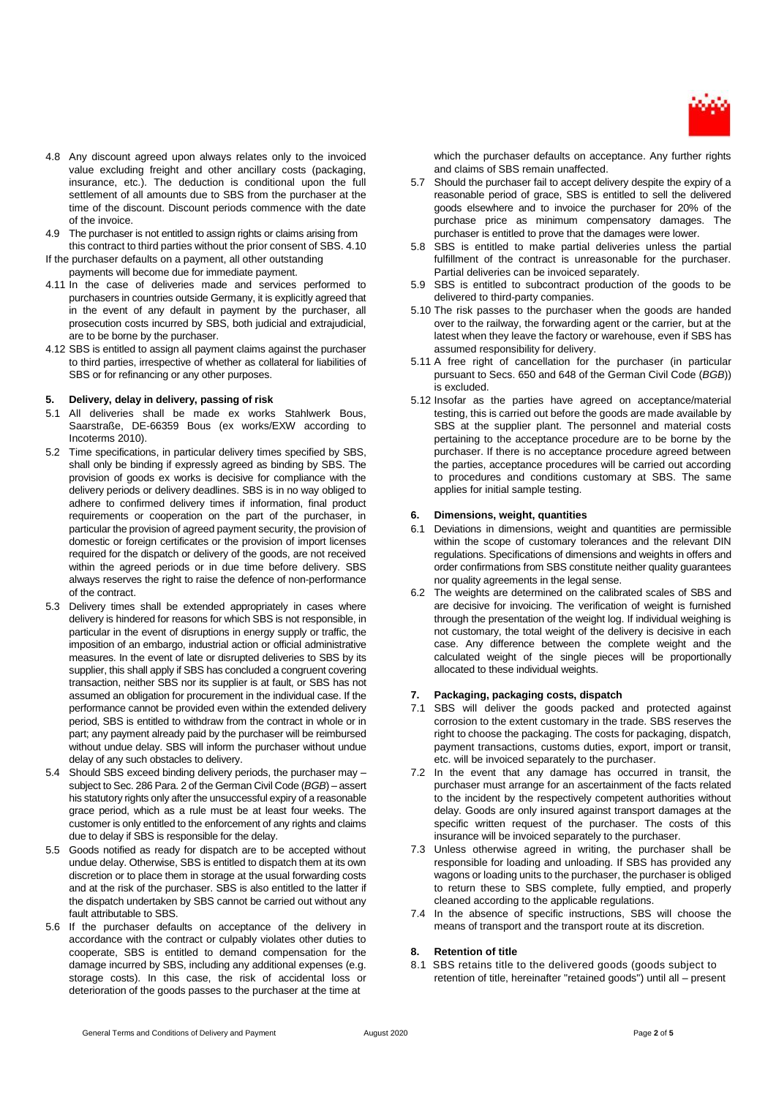

- 4.8 Any discount agreed upon always relates only to the invoiced value excluding freight and other ancillary costs (packaging, insurance, etc.). The deduction is conditional upon the full settlement of all amounts due to SBS from the purchaser at the time of the discount. Discount periods commence with the date of the invoice.
- 4.9 The purchaser is not entitled to assign rights or claims arising from this contract to third parties without the prior consent of SBS. 4.10
- If the purchaser defaults on a payment, all other outstanding payments will become due for immediate payment.
- 4.11 In the case of deliveries made and services performed to purchasers in countries outside Germany, it is explicitly agreed that in the event of any default in payment by the purchaser, all prosecution costs incurred by SBS, both judicial and extrajudicial, are to be borne by the purchaser.
- 4.12 SBS is entitled to assign all payment claims against the purchaser to third parties, irrespective of whether as collateral for liabilities of SBS or for refinancing or any other purposes.

# **5. Delivery, delay in delivery, passing of risk**

- 5.1 All deliveries shall be made ex works Stahlwerk Bous, Saarstraße, DE-66359 Bous (ex works/EXW according to Incoterms 2010).
- 5.2 Time specifications, in particular delivery times specified by SBS, shall only be binding if expressly agreed as binding by SBS. The provision of goods ex works is decisive for compliance with the delivery periods or delivery deadlines. SBS is in no way obliged to adhere to confirmed delivery times if information, final product requirements or cooperation on the part of the purchaser, in particular the provision of agreed payment security, the provision of domestic or foreign certificates or the provision of import licenses required for the dispatch or delivery of the goods, are not received within the agreed periods or in due time before delivery. SBS always reserves the right to raise the defence of non-performance of the contract.
- 5.3 Delivery times shall be extended appropriately in cases where delivery is hindered for reasons for which SBS is not responsible, in particular in the event of disruptions in energy supply or traffic, the imposition of an embargo, industrial action or official administrative measures. In the event of late or disrupted deliveries to SBS by its supplier, this shall apply if SBS has concluded a congruent covering transaction, neither SBS nor its supplier is at fault, or SBS has not assumed an obligation for procurement in the individual case. If the performance cannot be provided even within the extended delivery period, SBS is entitled to withdraw from the contract in whole or in part; any payment already paid by the purchaser will be reimbursed without undue delay. SBS will inform the purchaser without undue delay of any such obstacles to delivery.
- 5.4 Should SBS exceed binding delivery periods, the purchaser may subject to Sec. 286 Para. 2 of the German Civil Code (*BGB*) – assert his statutory rights only after the unsuccessful expiry of a reasonable grace period, which as a rule must be at least four weeks. The customer is only entitled to the enforcement of any rights and claims due to delay if SBS is responsible for the delay.
- 5.5 Goods notified as ready for dispatch are to be accepted without undue delay. Otherwise, SBS is entitled to dispatch them at its own discretion or to place them in storage at the usual forwarding costs and at the risk of the purchaser. SBS is also entitled to the latter if the dispatch undertaken by SBS cannot be carried out without any fault attributable to SBS.
- 5.6 If the purchaser defaults on acceptance of the delivery in accordance with the contract or culpably violates other duties to cooperate, SBS is entitled to demand compensation for the damage incurred by SBS, including any additional expenses (e.g. storage costs). In this case, the risk of accidental loss or deterioration of the goods passes to the purchaser at the time at

which the purchaser defaults on acceptance. Any further rights and claims of SBS remain unaffected.

- 5.7 Should the purchaser fail to accept delivery despite the expiry of a reasonable period of grace, SBS is entitled to sell the delivered goods elsewhere and to invoice the purchaser for 20% of the purchase price as minimum compensatory damages. The purchaser is entitled to prove that the damages were lower.
- 5.8 SBS is entitled to make partial deliveries unless the partial fulfillment of the contract is unreasonable for the purchaser. Partial deliveries can be invoiced separately.
- 5.9 SBS is entitled to subcontract production of the goods to be delivered to third-party companies.
- 5.10 The risk passes to the purchaser when the goods are handed over to the railway, the forwarding agent or the carrier, but at the latest when they leave the factory or warehouse, even if SBS has assumed responsibility for delivery.
- 5.11 A free right of cancellation for the purchaser (in particular pursuant to Secs. 650 and 648 of the German Civil Code (*BGB*)) is excluded.
- 5.12 Insofar as the parties have agreed on acceptance/material testing, this is carried out before the goods are made available by SBS at the supplier plant. The personnel and material costs pertaining to the acceptance procedure are to be borne by the purchaser. If there is no acceptance procedure agreed between the parties, acceptance procedures will be carried out according to procedures and conditions customary at SBS. The same applies for initial sample testing.

### **6. Dimensions, weight, quantities**

- 6.1 Deviations in dimensions, weight and quantities are permissible within the scope of customary tolerances and the relevant DIN regulations. Specifications of dimensions and weights in offers and order confirmations from SBS constitute neither quality guarantees nor quality agreements in the legal sense.
- 6.2 The weights are determined on the calibrated scales of SBS and are decisive for invoicing. The verification of weight is furnished through the presentation of the weight log. If individual weighing is not customary, the total weight of the delivery is decisive in each case. Any difference between the complete weight and the calculated weight of the single pieces will be proportionally allocated to these individual weights.

### **7. Packaging, packaging costs, dispatch**

- 7.1 SBS will deliver the goods packed and protected against corrosion to the extent customary in the trade. SBS reserves the right to choose the packaging. The costs for packaging, dispatch, payment transactions, customs duties, export, import or transit, etc. will be invoiced separately to the purchaser.
- 7.2 In the event that any damage has occurred in transit, the purchaser must arrange for an ascertainment of the facts related to the incident by the respectively competent authorities without delay. Goods are only insured against transport damages at the specific written request of the purchaser. The costs of this insurance will be invoiced separately to the purchaser.
- 7.3 Unless otherwise agreed in writing, the purchaser shall be responsible for loading and unloading. If SBS has provided any wagons or loading units to the purchaser, the purchaser is obliged to return these to SBS complete, fully emptied, and properly cleaned according to the applicable regulations.
- 7.4 In the absence of specific instructions, SBS will choose the means of transport and the transport route at its discretion.

### **8. Retention of title**

8.1 SBS retains title to the delivered goods (goods subject to retention of title, hereinafter "retained goods") until all – present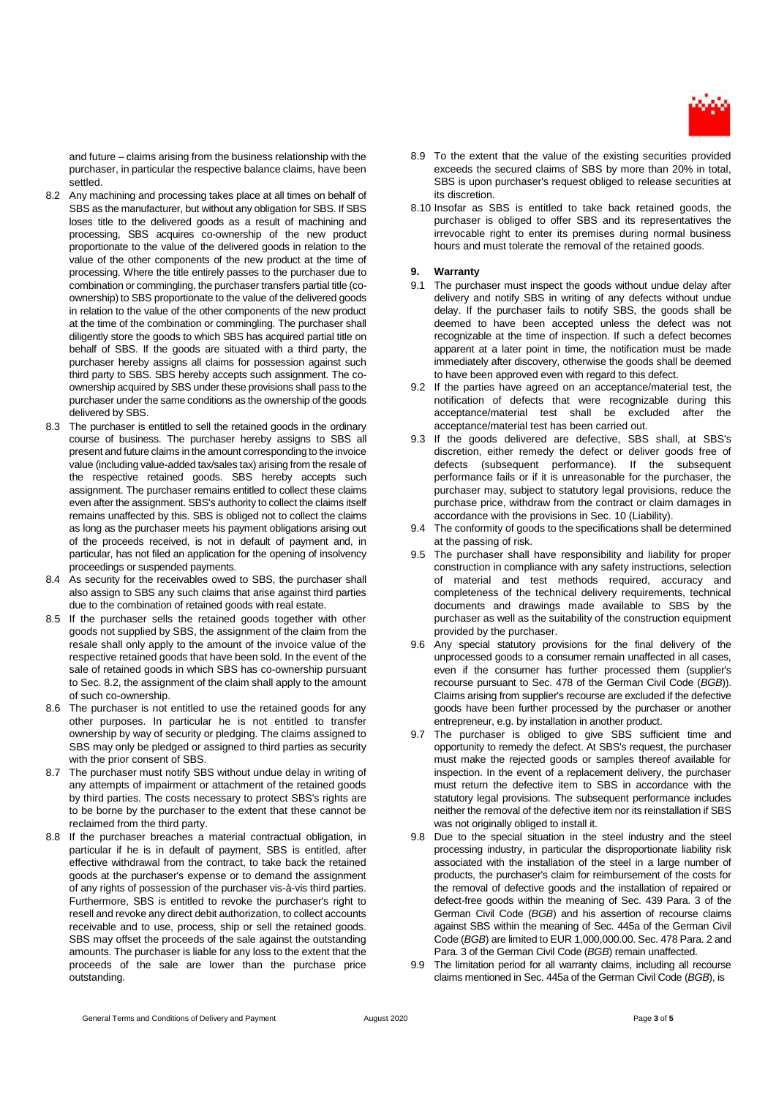

and future – claims arising from the business relationship with the purchaser, in particular the respective balance claims, have been settled.

- 8.2 Any machining and processing takes place at all times on behalf of SBS as the manufacturer, but without any obligation for SBS. If SBS loses title to the delivered goods as a result of machining and processing, SBS acquires co-ownership of the new product proportionate to the value of the delivered goods in relation to the value of the other components of the new product at the time of processing. Where the title entirely passes to the purchaser due to combination or commingling, the purchaser transfers partial title (coownership) to SBS proportionate to the value of the delivered goods in relation to the value of the other components of the new product at the time of the combination or commingling. The purchaser shall diligently store the goods to which SBS has acquired partial title on behalf of SBS. If the goods are situated with a third party, the purchaser hereby assigns all claims for possession against such third party to SBS. SBS hereby accepts such assignment. The coownership acquired by SBS under these provisions shall pass to the purchaser under the same conditions as the ownership of the goods delivered by SBS.
- 8.3 The purchaser is entitled to sell the retained goods in the ordinary course of business. The purchaser hereby assigns to SBS all present and future claims in the amount corresponding to the invoice value (including value-added tax/sales tax) arising from the resale of the respective retained goods. SBS hereby accepts such assignment. The purchaser remains entitled to collect these claims even after the assignment. SBS's authority to collect the claims itself remains unaffected by this. SBS is obliged not to collect the claims as long as the purchaser meets his payment obligations arising out of the proceeds received, is not in default of payment and, in particular, has not filed an application for the opening of insolvency proceedings or suspended payments.
- 8.4 As security for the receivables owed to SBS, the purchaser shall also assign to SBS any such claims that arise against third parties due to the combination of retained goods with real estate.
- 8.5 If the purchaser sells the retained goods together with other goods not supplied by SBS, the assignment of the claim from the resale shall only apply to the amount of the invoice value of the respective retained goods that have been sold. In the event of the sale of retained goods in which SBS has co-ownership pursuant to Sec. 8.2, the assignment of the claim shall apply to the amount of such co-ownership.
- 8.6 The purchaser is not entitled to use the retained goods for any other purposes. In particular he is not entitled to transfer ownership by way of security or pledging. The claims assigned to SBS may only be pledged or assigned to third parties as security with the prior consent of SBS.
- 8.7 The purchaser must notify SBS without undue delay in writing of any attempts of impairment or attachment of the retained goods by third parties. The costs necessary to protect SBS's rights are to be borne by the purchaser to the extent that these cannot be reclaimed from the third party.
- 8.8 If the purchaser breaches a material contractual obligation, in particular if he is in default of payment, SBS is entitled, after effective withdrawal from the contract, to take back the retained goods at the purchaser's expense or to demand the assignment of any rights of possession of the purchaser vis-à-vis third parties. Furthermore, SBS is entitled to revoke the purchaser's right to resell and revoke any direct debit authorization, to collect accounts receivable and to use, process, ship or sell the retained goods. SBS may offset the proceeds of the sale against the outstanding amounts. The purchaser is liable for any loss to the extent that the proceeds of the sale are lower than the purchase price outstanding.
- 8.9 To the extent that the value of the existing securities provided exceeds the secured claims of SBS by more than 20% in total, SBS is upon purchaser's request obliged to release securities at its discretion.
- 8.10 Insofar as SBS is entitled to take back retained goods, the purchaser is obliged to offer SBS and its representatives the irrevocable right to enter its premises during normal business hours and must tolerate the removal of the retained goods.

# **9. Warranty**

- 9.1 The purchaser must inspect the goods without undue delay after delivery and notify SBS in writing of any defects without undue delay. If the purchaser fails to notify SBS, the goods shall be deemed to have been accepted unless the defect was not recognizable at the time of inspection. If such a defect becomes apparent at a later point in time, the notification must be made immediately after discovery, otherwise the goods shall be deemed to have been approved even with regard to this defect.
- 9.2 If the parties have agreed on an acceptance/material test, the notification of defects that were recognizable during this acceptance/material test shall be excluded after the acceptance/material test has been carried out.
- 9.3 If the goods delivered are defective, SBS shall, at SBS's discretion, either remedy the defect or deliver goods free of defects (subsequent performance). If the subsequent performance fails or if it is unreasonable for the purchaser, the purchaser may, subject to statutory legal provisions, reduce the purchase price, withdraw from the contract or claim damages in accordance with the provisions in Sec. 10 (Liability).
- 9.4 The conformity of goods to the specifications shall be determined at the passing of risk.
- 9.5 The purchaser shall have responsibility and liability for proper construction in compliance with any safety instructions, selection of material and test methods required, accuracy and completeness of the technical delivery requirements, technical documents and drawings made available to SBS by the purchaser as well as the suitability of the construction equipment provided by the purchaser.
- 9.6 Any special statutory provisions for the final delivery of the unprocessed goods to a consumer remain unaffected in all cases, even if the consumer has further processed them (supplier's recourse pursuant to Sec. 478 of the German Civil Code (*BGB*)). Claims arising from supplier's recourse are excluded if the defective goods have been further processed by the purchaser or another entrepreneur, e.g. by installation in another product.
- 9.7 The purchaser is obliged to give SBS sufficient time and opportunity to remedy the defect. At SBS's request, the purchaser must make the rejected goods or samples thereof available for inspection. In the event of a replacement delivery, the purchaser must return the defective item to SBS in accordance with the statutory legal provisions. The subsequent performance includes neither the removal of the defective item nor its reinstallation if SBS was not originally obliged to install it.
- 9.8 Due to the special situation in the steel industry and the steel processing industry, in particular the disproportionate liability risk associated with the installation of the steel in a large number of products, the purchaser's claim for reimbursement of the costs for the removal of defective goods and the installation of repaired or defect-free goods within the meaning of Sec. 439 Para. 3 of the German Civil Code (*BGB*) and his assertion of recourse claims against SBS within the meaning of Sec. 445a of the German Civil Code (*BGB*) are limited to EUR 1,000,000.00. Sec. 478 Para. 2 and Para. 3 of the German Civil Code (*BGB*) remain unaffected.
- 9.9 The limitation period for all warranty claims, including all recourse claims mentioned in Sec. 445a of the German Civil Code (*BGB*), is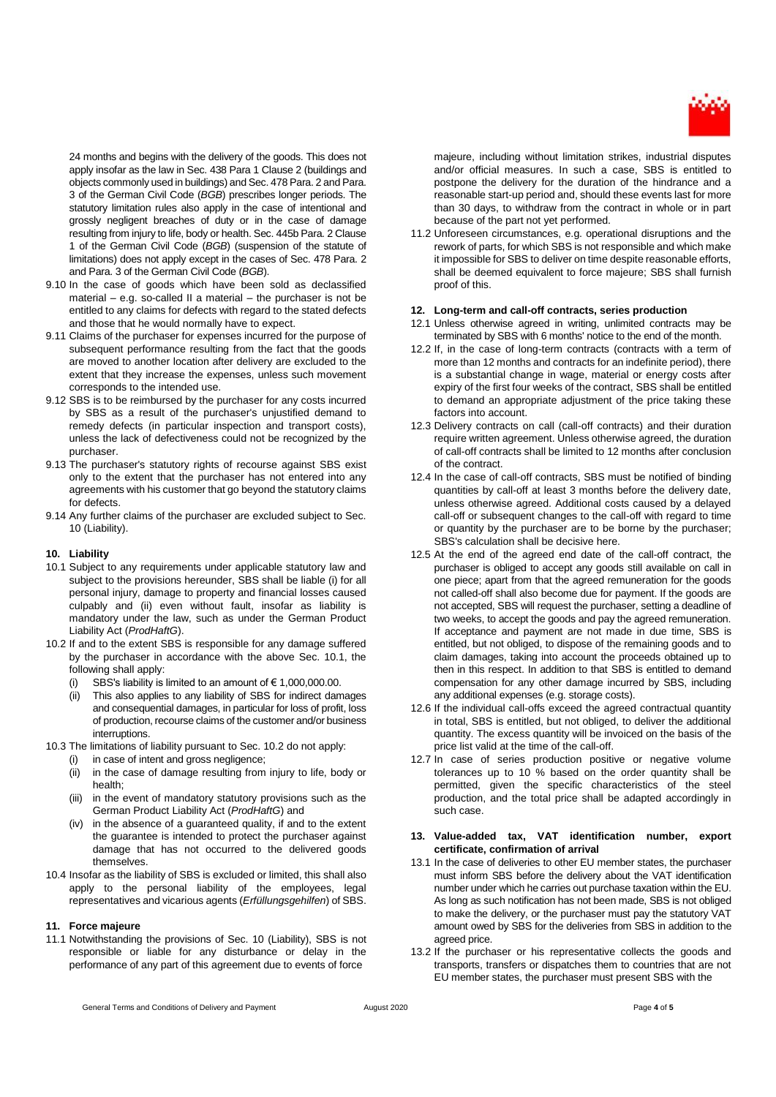

24 months and begins with the delivery of the goods. This does not apply insofar as the law in Sec. 438 Para 1 Clause 2 (buildings and objects commonly used in buildings) and Sec. 478 Para. 2 and Para. 3 of the German Civil Code (*BGB*) prescribes longer periods. The statutory limitation rules also apply in the case of intentional and grossly negligent breaches of duty or in the case of damage resulting from injury to life, body or health. Sec. 445b Para. 2 Clause 1 of the German Civil Code (*BGB*) (suspension of the statute of limitations) does not apply except in the cases of Sec. 478 Para. 2 and Para. 3 of the German Civil Code (*BGB*).

- 9.10 In the case of goods which have been sold as declassified material – e.g. so-called II a material – the purchaser is not be entitled to any claims for defects with regard to the stated defects and those that he would normally have to expect.
- 9.11 Claims of the purchaser for expenses incurred for the purpose of subsequent performance resulting from the fact that the goods are moved to another location after delivery are excluded to the extent that they increase the expenses, unless such movement corresponds to the intended use.
- 9.12 SBS is to be reimbursed by the purchaser for any costs incurred by SBS as a result of the purchaser's unjustified demand to remedy defects (in particular inspection and transport costs), unless the lack of defectiveness could not be recognized by the purchaser.
- 9.13 The purchaser's statutory rights of recourse against SBS exist only to the extent that the purchaser has not entered into any agreements with his customer that go beyond the statutory claims for defects.
- 9.14 Any further claims of the purchaser are excluded subject to Sec. 10 (Liability).

### **10. Liability**

- 10.1 Subject to any requirements under applicable statutory law and subject to the provisions hereunder, SBS shall be liable (i) for all personal injury, damage to property and financial losses caused culpably and (ii) even without fault, insofar as liability is mandatory under the law, such as under the German Product Liability Act (*ProdHaftG*).
- 10.2 If and to the extent SBS is responsible for any damage suffered by the purchaser in accordance with the above Sec. 10.1, the following shall apply:
	- (i) SBS's liability is limited to an amount of  $\epsilon$  1,000,000.00.
	- (ii) This also applies to any liability of SBS for indirect damages and consequential damages, in particular for loss of profit, loss of production, recourse claims of the customer and/or business interruptions.
- 10.3 The limitations of liability pursuant to Sec. 10.2 do not apply:
	- (i) in case of intent and gross negligence;
	- (ii) in the case of damage resulting from injury to life, body or health;
	- (iii) in the event of mandatory statutory provisions such as the German Product Liability Act (*ProdHaftG*) and
	- (iv) in the absence of a guaranteed quality, if and to the extent the guarantee is intended to protect the purchaser against damage that has not occurred to the delivered goods themselves.
- 10.4 Insofar as the liability of SBS is excluded or limited, this shall also apply to the personal liability of the employees, legal representatives and vicarious agents (*Erfüllungsgehilfen*) of SBS.

#### **11. Force majeure**

11.1 Notwithstanding the provisions of Sec. 10 (Liability), SBS is not responsible or liable for any disturbance or delay in the performance of any part of this agreement due to events of force

majeure, including without limitation strikes, industrial disputes and/or official measures. In such a case, SBS is entitled to postpone the delivery for the duration of the hindrance and a reasonable start-up period and, should these events last for more than 30 days, to withdraw from the contract in whole or in part because of the part not yet performed.

11.2 Unforeseen circumstances, e.g. operational disruptions and the rework of parts, for which SBS is not responsible and which make it impossible for SBS to deliver on time despite reasonable efforts, shall be deemed equivalent to force majeure; SBS shall furnish proof of this.

#### **12. Long-term and call-off contracts, series production**

- 12.1 Unless otherwise agreed in writing, unlimited contracts may be terminated by SBS with 6 months' notice to the end of the month.
- 12.2 If, in the case of long-term contracts (contracts with a term of more than 12 months and contracts for an indefinite period), there is a substantial change in wage, material or energy costs after expiry of the first four weeks of the contract, SBS shall be entitled to demand an appropriate adjustment of the price taking these factors into account.
- 12.3 Delivery contracts on call (call-off contracts) and their duration require written agreement. Unless otherwise agreed, the duration of call-off contracts shall be limited to 12 months after conclusion of the contract.
- 12.4 In the case of call-off contracts, SBS must be notified of binding quantities by call-off at least 3 months before the delivery date, unless otherwise agreed. Additional costs caused by a delayed call-off or subsequent changes to the call-off with regard to time or quantity by the purchaser are to be borne by the purchaser; SBS's calculation shall be decisive here.
- 12.5 At the end of the agreed end date of the call-off contract, the purchaser is obliged to accept any goods still available on call in one piece; apart from that the agreed remuneration for the goods not called-off shall also become due for payment. If the goods are not accepted, SBS will request the purchaser, setting a deadline of two weeks, to accept the goods and pay the agreed remuneration. If acceptance and payment are not made in due time, SBS is entitled, but not obliged, to dispose of the remaining goods and to claim damages, taking into account the proceeds obtained up to then in this respect. In addition to that SBS is entitled to demand compensation for any other damage incurred by SBS, including any additional expenses (e.g. storage costs).
- 12.6 If the individual call-offs exceed the agreed contractual quantity in total, SBS is entitled, but not obliged, to deliver the additional quantity. The excess quantity will be invoiced on the basis of the price list valid at the time of the call-off.
- 12.7 In case of series production positive or negative volume tolerances up to 10 % based on the order quantity shall be permitted, given the specific characteristics of the steel production, and the total price shall be adapted accordingly in such case.

### **13. Value-added tax, VAT identification number, export certificate, confirmation of arrival**

- 13.1 In the case of deliveries to other EU member states, the purchaser must inform SBS before the delivery about the VAT identification number under which he carries out purchase taxation within the EU. As long as such notification has not been made, SBS is not obliged to make the delivery, or the purchaser must pay the statutory VAT amount owed by SBS for the deliveries from SBS in addition to the agreed price.
- 13.2 If the purchaser or his representative collects the goods and transports, transfers or dispatches them to countries that are not EU member states, the purchaser must present SBS with the